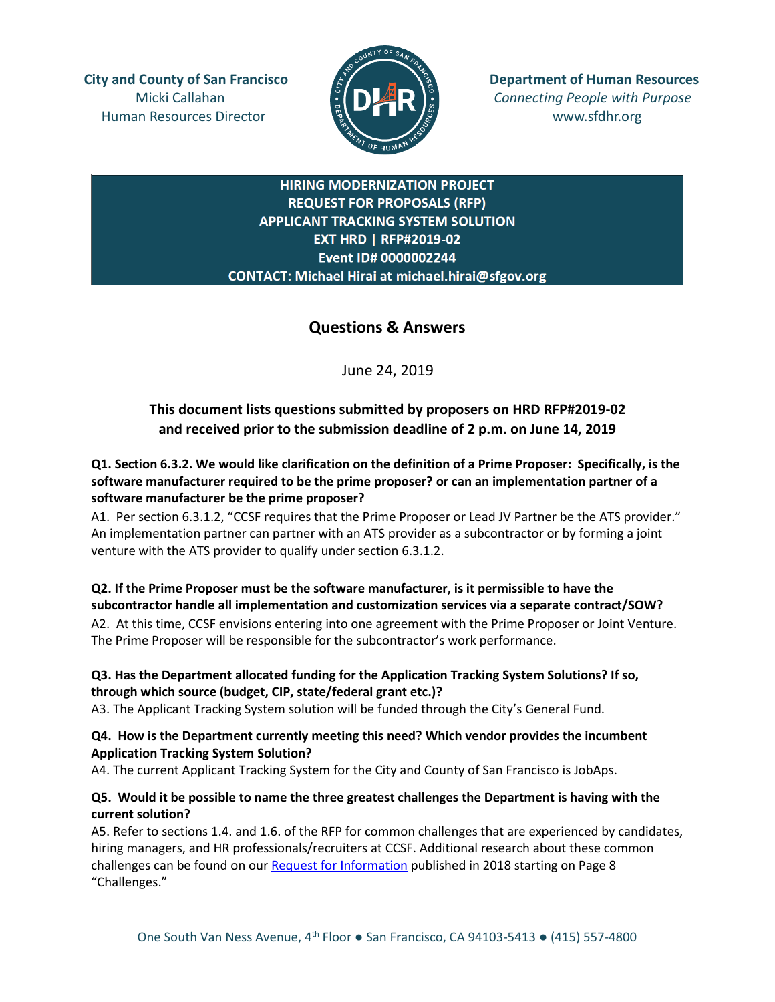Human Resources Director **www.sfdhr.org** 



**City and County of San Francisco Department of Human Resources** Micki Callahan **Connecting People with Purpose** 

## **HIRING MODERNIZATION PROJECT REQUEST FOR PROPOSALS (RFP) APPLICANT TRACKING SYSTEM SOLUTION EXT HRD | RFP#2019-02** Event ID# 0000002244 CONTACT: Michael Hirai at michael.hirai@sfgov.org

# **Questions & Answers**

June 24, 2019

## **This document lists questions submitted by proposers on HRD RFP#2019-02 and received prior to the submission deadline of 2 p.m. on June 14, 2019**

**Q1. Section 6.3.2. We would like clarification on the definition of a Prime Proposer: Specifically, is the software manufacturer required to be the prime proposer? or can an implementation partner of a software manufacturer be the prime proposer?**

A1.Per section 6.3.1.2, "CCSF requires that the Prime Proposer or Lead JV Partner be the ATS provider." An implementation partner can partner with an ATS provider as a subcontractor or by forming a joint venture with the ATS provider to qualify under section 6.3.1.2.

# **Q2. If the Prime Proposer must be the software manufacturer, is it permissible to have the subcontractor handle all implementation and customization services via a separate contract/SOW?**

A2.At this time, CCSF envisions entering into one agreement with the Prime Proposer or Joint Venture. The Prime Proposer will be responsible for the subcontractor's work performance.

## **Q3. Has the Department allocated funding for the Application Tracking System Solutions? If so, through which source (budget, CIP, state/federal grant etc.)?**

A3. The Applicant Tracking System solution will be funded through the City's General Fund.

## **Q4. How is the Department currently meeting this need? Which vendor provides the incumbent Application Tracking System Solution?**

A4. The current Applicant Tracking System for the City and County of San Francisco is JobAps.

## **Q5. Would it be possible to name the three greatest challenges the Department is having with the current solution?**

A5. Refer to sections 1.4. and 1.6. of the RFP for common challenges that are experienced by candidates, hiring managers, and HR professionals/recruiters at CCSF. Additional research about these common challenges can be found on our [Request for Information](https://docs.wixstatic.com/ugd/b6959e_4ee53b5136094042b7e99ac4f5d5867e.pdf) published in 2018 starting on Page 8 "Challenges."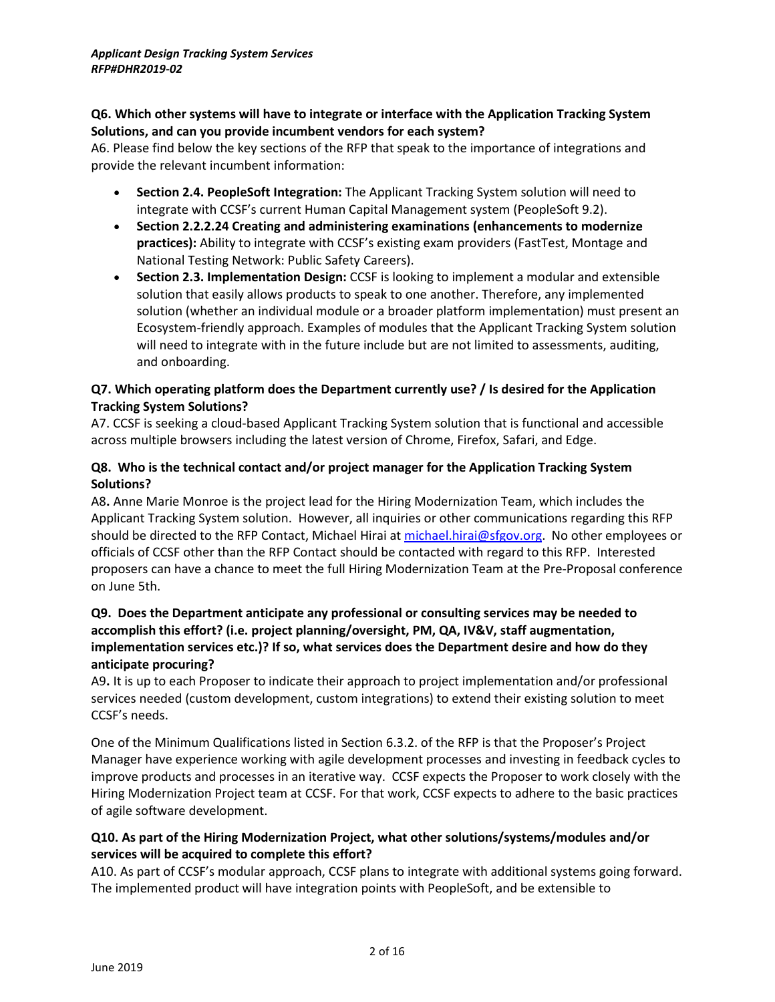#### **Q6. Which other systems will have to integrate or interface with the Application Tracking System Solutions, and can you provide incumbent vendors for each system?**

A6. Please find below the key sections of the RFP that speak to the importance of integrations and provide the relevant incumbent information:

- **Section 2.4. PeopleSoft Integration:** The Applicant Tracking System solution will need to integrate with CCSF's current Human Capital Management system (PeopleSoft 9.2).
- **Section 2.2.2.24 Creating and administering examinations (enhancements to modernize practices):** Ability to integrate with CCSF's existing exam providers (FastTest, Montage and National Testing Network: Public Safety Careers).
- **Section 2.3. Implementation Design:** CCSF is looking to implement a modular and extensible solution that easily allows products to speak to one another. Therefore, any implemented solution (whether an individual module or a broader platform implementation) must present an Ecosystem-friendly approach. Examples of modules that the Applicant Tracking System solution will need to integrate with in the future include but are not limited to assessments, auditing, and onboarding.

## **Q7. Which operating platform does the Department currently use? / Is desired for the Application Tracking System Solutions?**

A7. CCSF is seeking a cloud-based Applicant Tracking System solution that is functional and accessible across multiple browsers including the latest version of Chrome, Firefox, Safari, and Edge.

## **Q8. Who is the technical contact and/or project manager for the Application Tracking System Solutions?**

A8**.** Anne Marie Monroe is the project lead for the Hiring Modernization Team, which includes the Applicant Tracking System solution. However, all inquiries or other communications regarding this RFP should be directed to the RFP Contact, Michael Hirai at [michael.hirai@sfgov.org.](mailto:michael.hirai@sfgov.org) No other employees or officials of CCSF other than the RFP Contact should be contacted with regard to this RFP. Interested proposers can have a chance to meet the full Hiring Modernization Team at the Pre-Proposal conference on June 5th.

## **Q9. Does the Department anticipate any professional or consulting services may be needed to accomplish this effort? (i.e. project planning/oversight, PM, QA, IV&V, staff augmentation, implementation services etc.)? If so, what services does the Department desire and how do they anticipate procuring?**

A9**.** It is up to each Proposer to indicate their approach to project implementation and/or professional services needed (custom development, custom integrations) to extend their existing solution to meet CCSF's needs.

One of the Minimum Qualifications listed in Section 6.3.2. of the RFP is that the Proposer's Project Manager have experience working with agile development processes and investing in feedback cycles to improve products and processes in an iterative way. CCSF expects the Proposer to work closely with the Hiring Modernization Project team at CCSF. For that work, CCSF expects to adhere to the basic practices of agile software development.

## **Q10. As part of the Hiring Modernization Project, what other solutions/systems/modules and/or services will be acquired to complete this effort?**

A10. As part of CCSF's modular approach, CCSF plans to integrate with additional systems going forward. The implemented product will have integration points with PeopleSoft, and be extensible to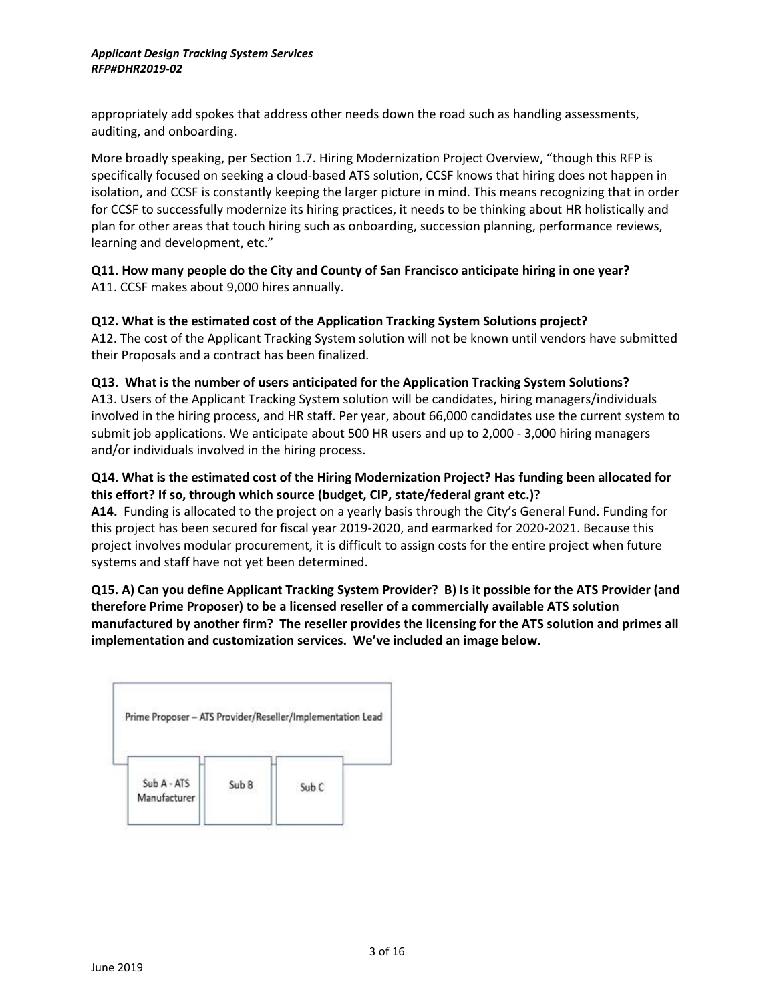appropriately add spokes that address other needs down the road such as handling assessments, auditing, and onboarding.

More broadly speaking, per Section 1.7. Hiring Modernization Project Overview, "though this RFP is specifically focused on seeking a cloud-based ATS solution, CCSF knows that hiring does not happen in isolation, and CCSF is constantly keeping the larger picture in mind. This means recognizing that in order for CCSF to successfully modernize its hiring practices, it needs to be thinking about HR holistically and plan for other areas that touch hiring such as onboarding, succession planning, performance reviews, learning and development, etc."

#### **Q11. How many people do the City and County of San Francisco anticipate hiring in one year?** A11. CCSF makes about 9,000 hires annually.

## **Q12. What is the estimated cost of the Application Tracking System Solutions project?**

A12. The cost of the Applicant Tracking System solution will not be known until vendors have submitted their Proposals and a contract has been finalized.

#### **Q13. What is the number of users anticipated for the Application Tracking System Solutions?**

A13. Users of the Applicant Tracking System solution will be candidates, hiring managers/individuals involved in the hiring process, and HR staff. Per year, about 66,000 candidates use the current system to submit job applications. We anticipate about 500 HR users and up to 2,000 - 3,000 hiring managers and/or individuals involved in the hiring process.

## **Q14. What is the estimated cost of the Hiring Modernization Project? Has funding been allocated for this effort? If so, through which source (budget, CIP, state/federal grant etc.)?**

**A14.** Funding is allocated to the project on a yearly basis through the City's General Fund. Funding for this project has been secured for fiscal year 2019-2020, and earmarked for 2020-2021. Because this project involves modular procurement, it is difficult to assign costs for the entire project when future systems and staff have not yet been determined.

## **Q15. A) Can you define Applicant Tracking System Provider? B) Is it possible for the ATS Provider (and therefore Prime Proposer) to be a licensed reseller of a commercially available ATS solution manufactured by another firm? The reseller provides the licensing for the ATS solution and primes all implementation and customization services. We've included an image below.**

| Prime Proposer - ATS Provider/Reseller/Implementation Lead |  |  |
|------------------------------------------------------------|--|--|
|                                                            |  |  |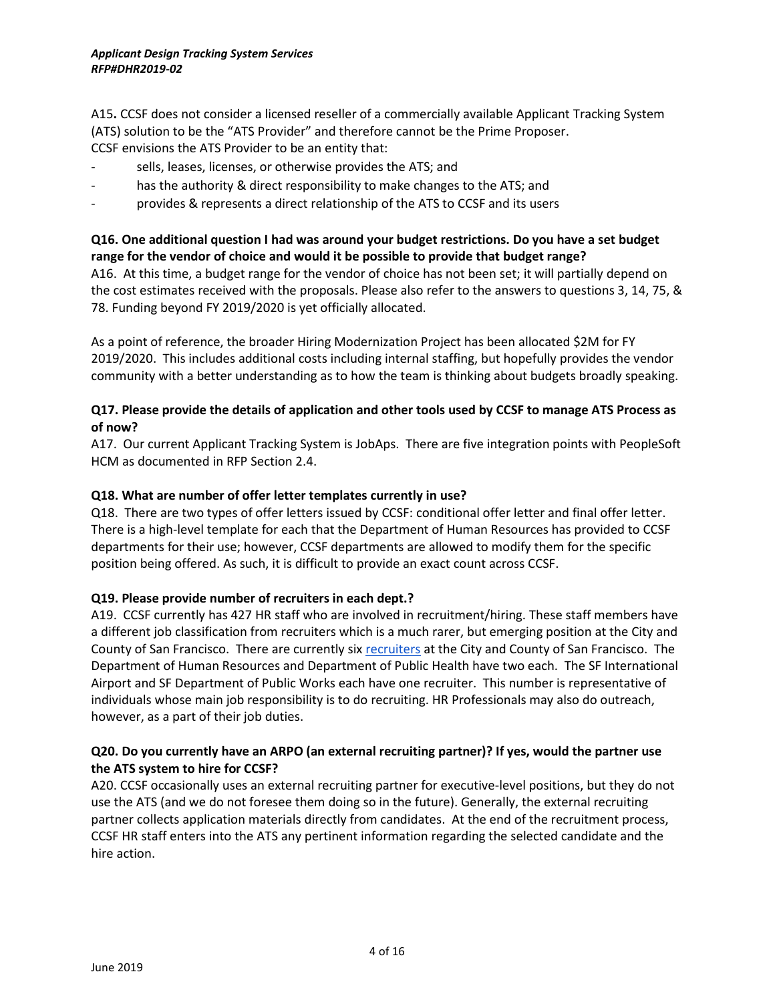A15**.** CCSF does not consider a licensed reseller of a commercially available Applicant Tracking System (ATS) solution to be the "ATS Provider" and therefore cannot be the Prime Proposer. CCSF envisions the ATS Provider to be an entity that:

- sells, leases, licenses, or otherwise provides the ATS; and
- has the authority & direct responsibility to make changes to the ATS; and
- provides & represents a direct relationship of the ATS to CCSF and its users

#### **Q16. One additional question I had was around your budget restrictions. Do you have a set budget range for the vendor of choice and would it be possible to provide that budget range?**

A16. At this time, a budget range for the vendor of choice has not been set; it will partially depend on the cost estimates received with the proposals. Please also refer to the answers to questions 3, 14, 75, & 78. Funding beyond FY 2019/2020 is yet officially allocated.

As a point of reference, the broader Hiring Modernization Project has been allocated \$2M for FY 2019/2020. This includes additional costs including internal staffing, but hopefully provides the vendor community with a better understanding as to how the team is thinking about budgets broadly speaking.

#### **Q17. Please provide the details of application and other tools used by CCSF to manage ATS Process as of now?**

A17. Our current Applicant Tracking System is JobAps. There are five integration points with PeopleSoft HCM as documented in RFP Section 2.4.

#### **Q18. What are number of offer letter templates currently in use?**

Q18. There are two types of offer letters issued by CCSF: conditional offer letter and final offer letter. There is a high-level template for each that the Department of Human Resources has provided to CCSF departments for their use; however, CCSF departments are allowed to modify them for the specific position being offered. As such, it is difficult to provide an exact count across CCSF.

#### **Q19. Please provide number of recruiters in each dept.?**

A19. CCSF currently has 427 HR staff who are involved in recruitment/hiring. These staff members have a different job classification from recruiters which is a much rarer, but emerging position at the City and County of San Francisco. There are currently six [recruiters](http://citidex.sfgov.org/cgi-bin/dhr/findClass.cgi?MyID=1250) at the City and County of San Francisco. The Department of Human Resources and Department of Public Health have two each. The SF International Airport and SF Department of Public Works each have one recruiter. This number is representative of individuals whose main job responsibility is to do recruiting. HR Professionals may also do outreach, however, as a part of their job duties.

#### **Q20. Do you currently have an ARPO (an external recruiting partner)? If yes, would the partner use the ATS system to hire for CCSF?**

A20. CCSF occasionally uses an external recruiting partner for executive-level positions, but they do not use the ATS (and we do not foresee them doing so in the future). Generally, the external recruiting partner collects application materials directly from candidates. At the end of the recruitment process, CCSF HR staff enters into the ATS any pertinent information regarding the selected candidate and the hire action.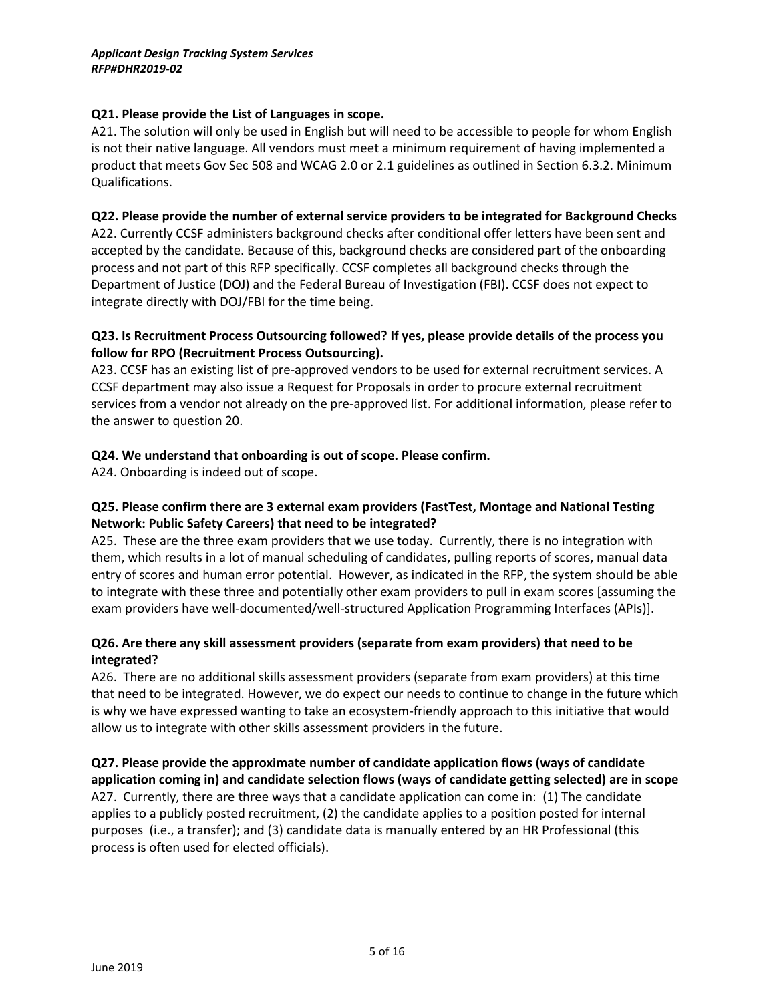#### **Q21. Please provide the List of Languages in scope.**

A21. The solution will only be used in English but will need to be accessible to people for whom English is not their native language. All vendors must meet a minimum requirement of having implemented a product that meets Gov Sec 508 and WCAG 2.0 or 2.1 guidelines as outlined in Section 6.3.2. Minimum Qualifications.

#### **Q22. Please provide the number of external service providers to be integrated for Background Checks**

A22. Currently CCSF administers background checks after conditional offer letters have been sent and accepted by the candidate. Because of this, background checks are considered part of the onboarding process and not part of this RFP specifically. CCSF completes all background checks through the Department of Justice (DOJ) and the Federal Bureau of Investigation (FBI). CCSF does not expect to integrate directly with DOJ/FBI for the time being.

#### **Q23. Is Recruitment Process Outsourcing followed? If yes, please provide details of the process you follow for RPO (Recruitment Process Outsourcing).**

A23. CCSF has an existing list of pre-approved vendors to be used for external recruitment services. A CCSF department may also issue a Request for Proposals in order to procure external recruitment services from a vendor not already on the pre-approved list. For additional information, please refer to the answer to question 20.

#### **Q24. We understand that onboarding is out of scope. Please confirm.**

A24. Onboarding is indeed out of scope.

#### **Q25. Please confirm there are 3 external exam providers (FastTest, Montage and National Testing Network: Public Safety Careers) that need to be integrated?**

A25. These are the three exam providers that we use today. Currently, there is no integration with them, which results in a lot of manual scheduling of candidates, pulling reports of scores, manual data entry of scores and human error potential. However, as indicated in the RFP, the system should be able to integrate with these three and potentially other exam providers to pull in exam scores [assuming the exam providers have well-documented/well-structured Application Programming Interfaces (APIs)].

#### **Q26. Are there any skill assessment providers (separate from exam providers) that need to be integrated?**

A26. There are no additional skills assessment providers (separate from exam providers) at this time that need to be integrated. However, we do expect our needs to continue to change in the future which is why we have expressed wanting to take an ecosystem-friendly approach to this initiative that would allow us to integrate with other skills assessment providers in the future.

**Q27. Please provide the approximate number of candidate application flows (ways of candidate application coming in) and candidate selection flows (ways of candidate getting selected) are in scope**  A27. Currently, there are three ways that a candidate application can come in: (1) The candidate applies to a publicly posted recruitment, (2) the candidate applies to a position posted for internal purposes (i.e., a transfer); and (3) candidate data is manually entered by an HR Professional (this process is often used for elected officials).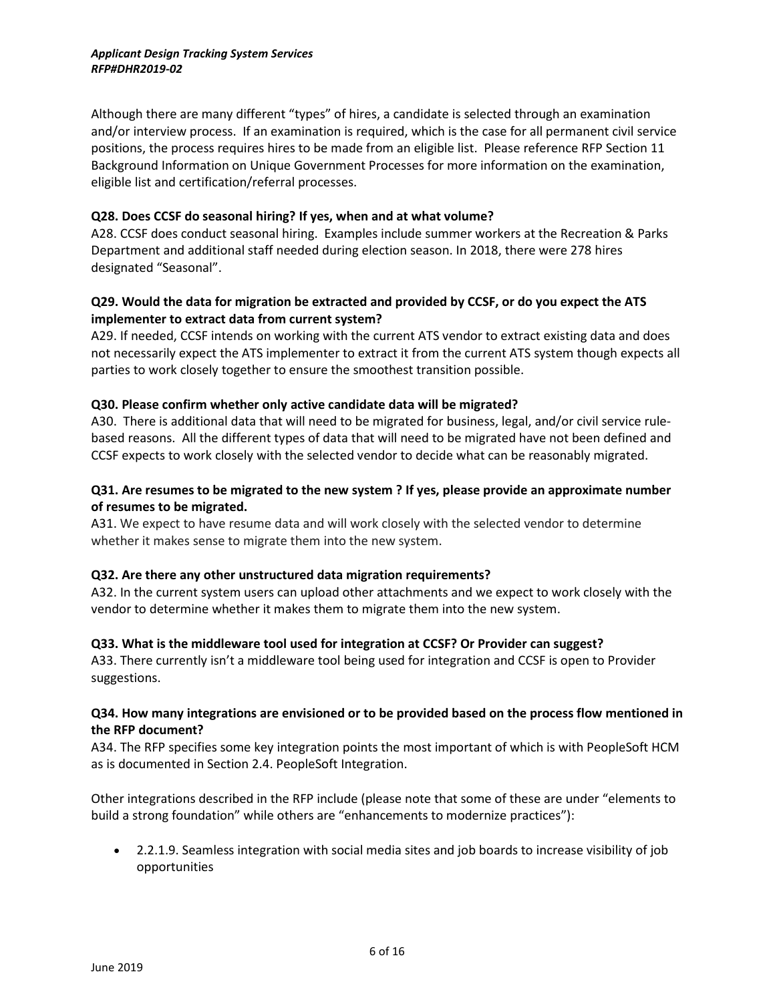Although there are many different "types" of hires, a candidate is selected through an examination and/or interview process. If an examination is required, which is the case for all permanent civil service positions, the process requires hires to be made from an eligible list. Please reference RFP Section 11 Background Information on Unique Government Processes for more information on the examination, eligible list and certification/referral processes.

#### **Q28. Does CCSF do seasonal hiring? If yes, when and at what volume?**

A28. CCSF does conduct seasonal hiring. Examples include summer workers at the Recreation & Parks Department and additional staff needed during election season. In 2018, there were 278 hires designated "Seasonal".

#### **Q29. Would the data for migration be extracted and provided by CCSF, or do you expect the ATS implementer to extract data from current system?**

A29. If needed, CCSF intends on working with the current ATS vendor to extract existing data and does not necessarily expect the ATS implementer to extract it from the current ATS system though expects all parties to work closely together to ensure the smoothest transition possible.

#### **Q30. Please confirm whether only active candidate data will be migrated?**

A30. There is additional data that will need to be migrated for business, legal, and/or civil service rulebased reasons. All the different types of data that will need to be migrated have not been defined and CCSF expects to work closely with the selected vendor to decide what can be reasonably migrated.

#### **Q31. Are resumes to be migrated to the new system ? If yes, please provide an approximate number of resumes to be migrated.**

A31. We expect to have resume data and will work closely with the selected vendor to determine whether it makes sense to migrate them into the new system.

#### **Q32. Are there any other unstructured data migration requirements?**

A32. In the current system users can upload other attachments and we expect to work closely with the vendor to determine whether it makes them to migrate them into the new system.

#### **Q33. What is the middleware tool used for integration at CCSF? Or Provider can suggest?**

A33. There currently isn't a middleware tool being used for integration and CCSF is open to Provider suggestions.

#### **Q34. How many integrations are envisioned or to be provided based on the process flow mentioned in the RFP document?**

A34. The RFP specifies some key integration points the most important of which is with PeopleSoft HCM as is documented in Section 2.4. PeopleSoft Integration.

Other integrations described in the RFP include (please note that some of these are under "elements to build a strong foundation" while others are "enhancements to modernize practices"):

• 2.2.1.9. Seamless integration with social media sites and job boards to increase visibility of job opportunities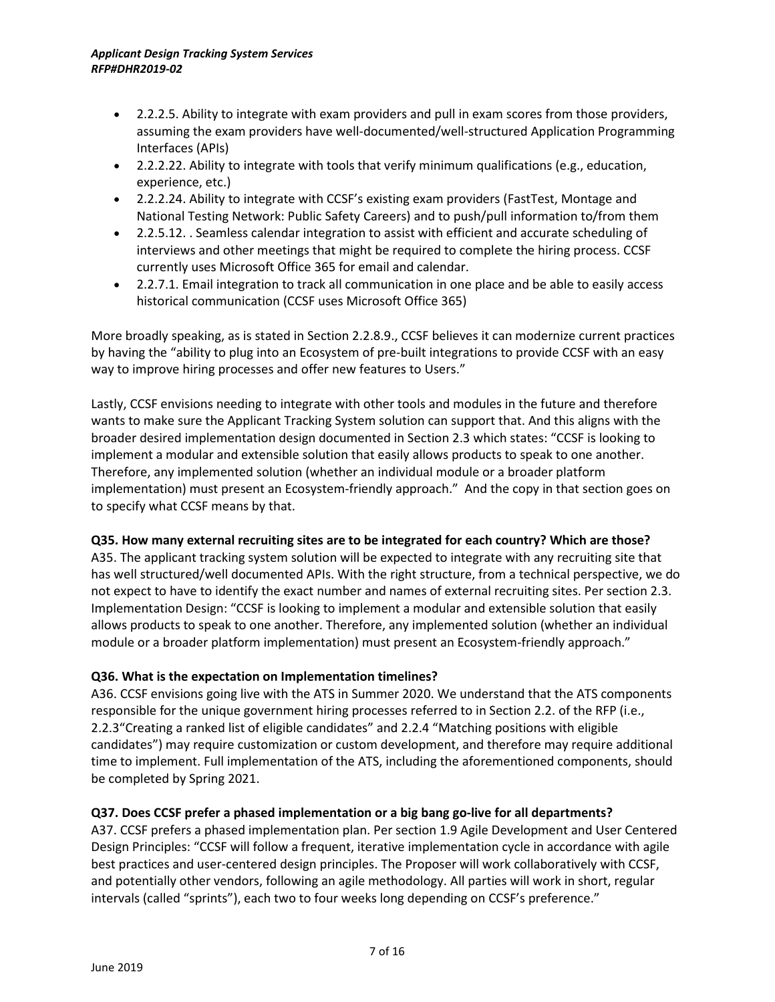- 2.2.2.5. Ability to integrate with exam providers and pull in exam scores from those providers, assuming the exam providers have well-documented/well-structured Application Programming Interfaces (APIs)
- 2.2.2.22. Ability to integrate with tools that verify minimum qualifications (e.g., education, experience, etc.)
- 2.2.2.24. Ability to integrate with CCSF's existing exam providers (FastTest, Montage and National Testing Network: Public Safety Careers) and to push/pull information to/from them
- 2.2.5.12. . Seamless calendar integration to assist with efficient and accurate scheduling of interviews and other meetings that might be required to complete the hiring process. CCSF currently uses Microsoft Office 365 for email and calendar.
- 2.2.7.1. Email integration to track all communication in one place and be able to easily access historical communication (CCSF uses Microsoft Office 365)

More broadly speaking, as is stated in Section 2.2.8.9., CCSF believes it can modernize current practices by having the "ability to plug into an Ecosystem of pre-built integrations to provide CCSF with an easy way to improve hiring processes and offer new features to Users."

Lastly, CCSF envisions needing to integrate with other tools and modules in the future and therefore wants to make sure the Applicant Tracking System solution can support that. And this aligns with the broader desired implementation design documented in Section 2.3 which states: "CCSF is looking to implement a modular and extensible solution that easily allows products to speak to one another. Therefore, any implemented solution (whether an individual module or a broader platform implementation) must present an Ecosystem-friendly approach." And the copy in that section goes on to specify what CCSF means by that.

## **Q35. How many external recruiting sites are to be integrated for each country? Which are those?**

A35. The applicant tracking system solution will be expected to integrate with any recruiting site that has well structured/well documented APIs. With the right structure, from a technical perspective, we do not expect to have to identify the exact number and names of external recruiting sites. Per section 2.3. Implementation Design: "CCSF is looking to implement a modular and extensible solution that easily allows products to speak to one another. Therefore, any implemented solution (whether an individual module or a broader platform implementation) must present an Ecosystem-friendly approach."

## **Q36. What is the expectation on Implementation timelines?**

A36. CCSF envisions going live with the ATS in Summer 2020. We understand that the ATS components responsible for the unique government hiring processes referred to in Section 2.2. of the RFP (i.e., 2.2.3"Creating a ranked list of eligible candidates" and 2.2.4 "Matching positions with eligible candidates") may require customization or custom development, and therefore may require additional time to implement. Full implementation of the ATS, including the aforementioned components, should be completed by Spring 2021.

## **Q37. Does CCSF prefer a phased implementation or a big bang go-live for all departments?**

A37. CCSF prefers a phased implementation plan. Per section 1.9 Agile Development and User Centered Design Principles: "CCSF will follow a frequent, iterative implementation cycle in accordance with agile best practices and user-centered design principles. The Proposer will work collaboratively with CCSF, and potentially other vendors, following an agile methodology. All parties will work in short, regular intervals (called "sprints"), each two to four weeks long depending on CCSF's preference."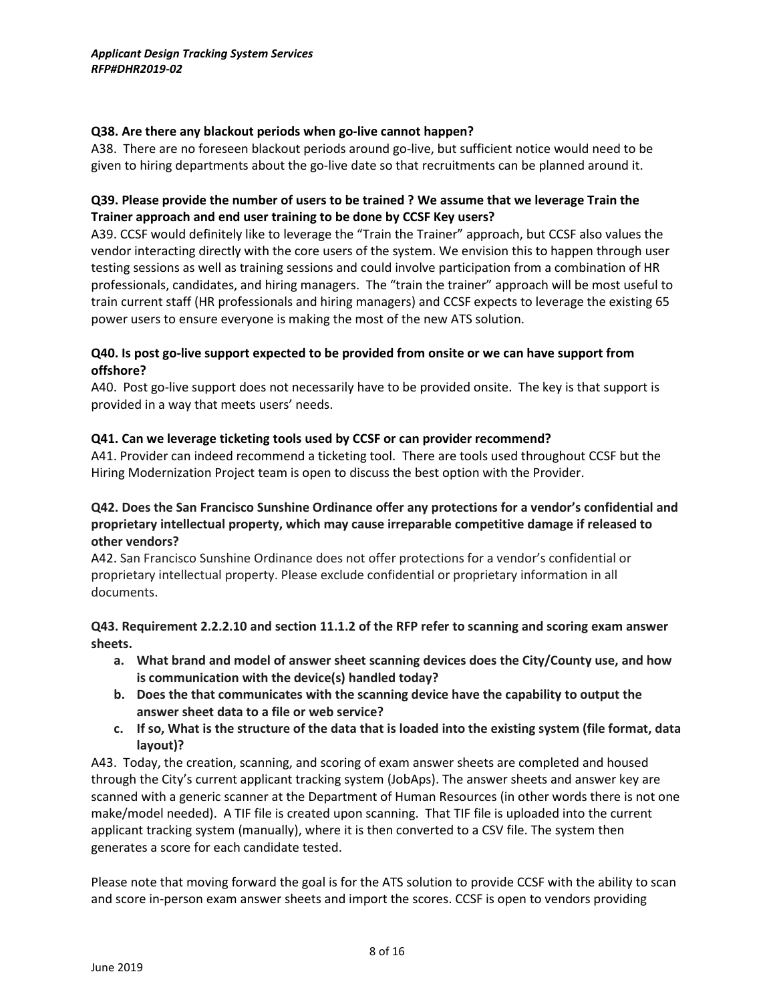#### **Q38. Are there any blackout periods when go-live cannot happen?**

A38. There are no foreseen blackout periods around go-live, but sufficient notice would need to be given to hiring departments about the go-live date so that recruitments can be planned around it.

#### **Q39. Please provide the number of users to be trained ? We assume that we leverage Train the Trainer approach and end user training to be done by CCSF Key users?**

A39. CCSF would definitely like to leverage the "Train the Trainer" approach, but CCSF also values the vendor interacting directly with the core users of the system. We envision this to happen through user testing sessions as well as training sessions and could involve participation from a combination of HR professionals, candidates, and hiring managers. The "train the trainer" approach will be most useful to train current staff (HR professionals and hiring managers) and CCSF expects to leverage the existing 65 power users to ensure everyone is making the most of the new ATS solution.

#### **Q40. Is post go-live support expected to be provided from onsite or we can have support from offshore?**

A40. Post go-live support does not necessarily have to be provided onsite. The key is that support is provided in a way that meets users' needs.

#### **Q41. Can we leverage ticketing tools used by CCSF or can provider recommend?**

A41. Provider can indeed recommend a ticketing tool. There are tools used throughout CCSF but the Hiring Modernization Project team is open to discuss the best option with the Provider.

#### **Q42. Does the San Francisco Sunshine Ordinance offer any protections for a vendor's confidential and proprietary intellectual property, which may cause irreparable competitive damage if released to other vendors?**

A42. San Francisco Sunshine Ordinance does not offer protections for a vendor's confidential or proprietary intellectual property. Please exclude confidential or proprietary information in all documents.

#### **Q43. Requirement 2.2.2.10 and section 11.1.2 of the RFP refer to scanning and scoring exam answer sheets.**

- **a. What brand and model of answer sheet scanning devices does the City/County use, and how is communication with the device(s) handled today?**
- **b. Does the that communicates with the scanning device have the capability to output the answer sheet data to a file or web service?**
- **c. If so, What is the structure of the data that is loaded into the existing system (file format, data layout)?**

A43. Today, the creation, scanning, and scoring of exam answer sheets are completed and housed through the City's current applicant tracking system (JobAps). The answer sheets and answer key are scanned with a generic scanner at the Department of Human Resources (in other words there is not one make/model needed). A TIF file is created upon scanning. That TIF file is uploaded into the current applicant tracking system (manually), where it is then converted to a CSV file. The system then generates a score for each candidate tested.

Please note that moving forward the goal is for the ATS solution to provide CCSF with the ability to scan and score in-person exam answer sheets and import the scores. CCSF is open to vendors providing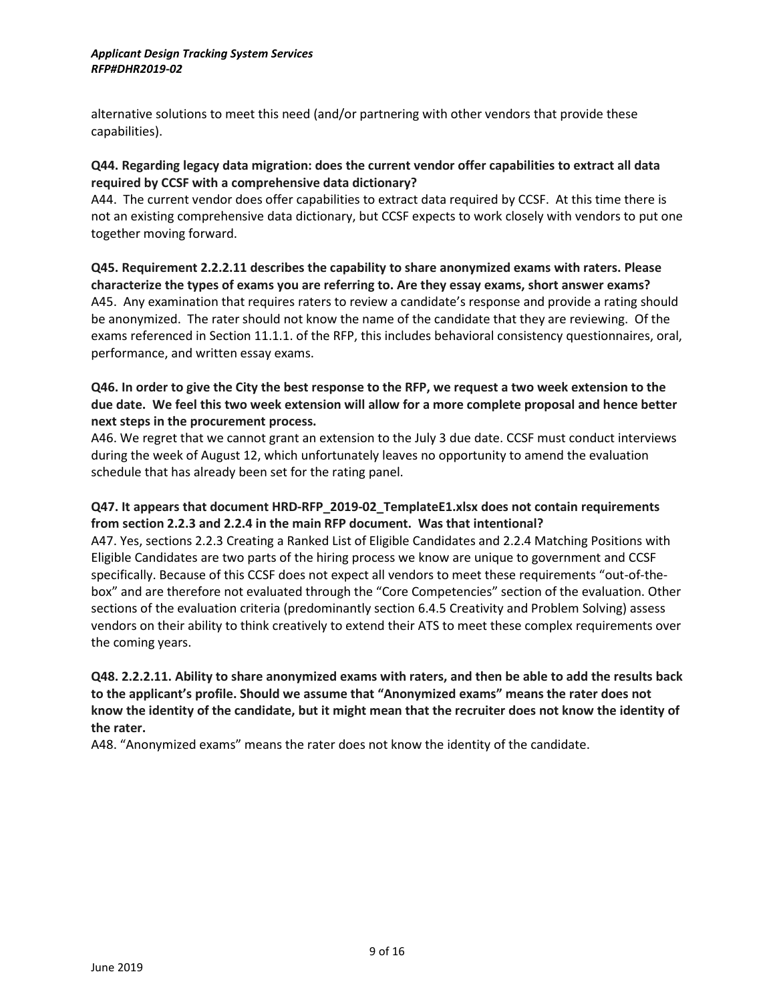alternative solutions to meet this need (and/or partnering with other vendors that provide these capabilities).

#### **Q44. Regarding legacy data migration: does the current vendor offer capabilities to extract all data required by CCSF with a comprehensive data dictionary?**

A44. The current vendor does offer capabilities to extract data required by CCSF. At this time there is not an existing comprehensive data dictionary, but CCSF expects to work closely with vendors to put one together moving forward.

**Q45. Requirement 2.2.2.11 describes the capability to share anonymized exams with raters. Please characterize the types of exams you are referring to. Are they essay exams, short answer exams?** A45. Any examination that requires raters to review a candidate's response and provide a rating should be anonymized. The rater should not know the name of the candidate that they are reviewing. Of the exams referenced in Section 11.1.1. of the RFP, this includes behavioral consistency questionnaires, oral, performance, and written essay exams.

#### **Q46. In order to give the City the best response to the RFP, we request a two week extension to the due date. We feel this two week extension will allow for a more complete proposal and hence better next steps in the procurement process.**

A46. We regret that we cannot grant an extension to the July 3 due date. CCSF must conduct interviews during the week of August 12, which unfortunately leaves no opportunity to amend the evaluation schedule that has already been set for the rating panel.

#### **Q47. It appears that document HRD-RFP\_2019-02\_TemplateE1.xlsx does not contain requirements from section 2.2.3 and 2.2.4 in the main RFP document. Was that intentional?**

A47. Yes, sections 2.2.3 Creating a Ranked List of Eligible Candidates and 2.2.4 Matching Positions with Eligible Candidates are two parts of the hiring process we know are unique to government and CCSF specifically. Because of this CCSF does not expect all vendors to meet these requirements "out-of-thebox" and are therefore not evaluated through the "Core Competencies" section of the evaluation. Other sections of the evaluation criteria (predominantly section 6.4.5 Creativity and Problem Solving) assess vendors on their ability to think creatively to extend their ATS to meet these complex requirements over the coming years.

#### **Q48. 2.2.2.11. Ability to share anonymized exams with raters, and then be able to add the results back to the applicant's profile. Should we assume that "Anonymized exams" means the rater does not know the identity of the candidate, but it might mean that the recruiter does not know the identity of the rater.**

A48. "Anonymized exams" means the rater does not know the identity of the candidate.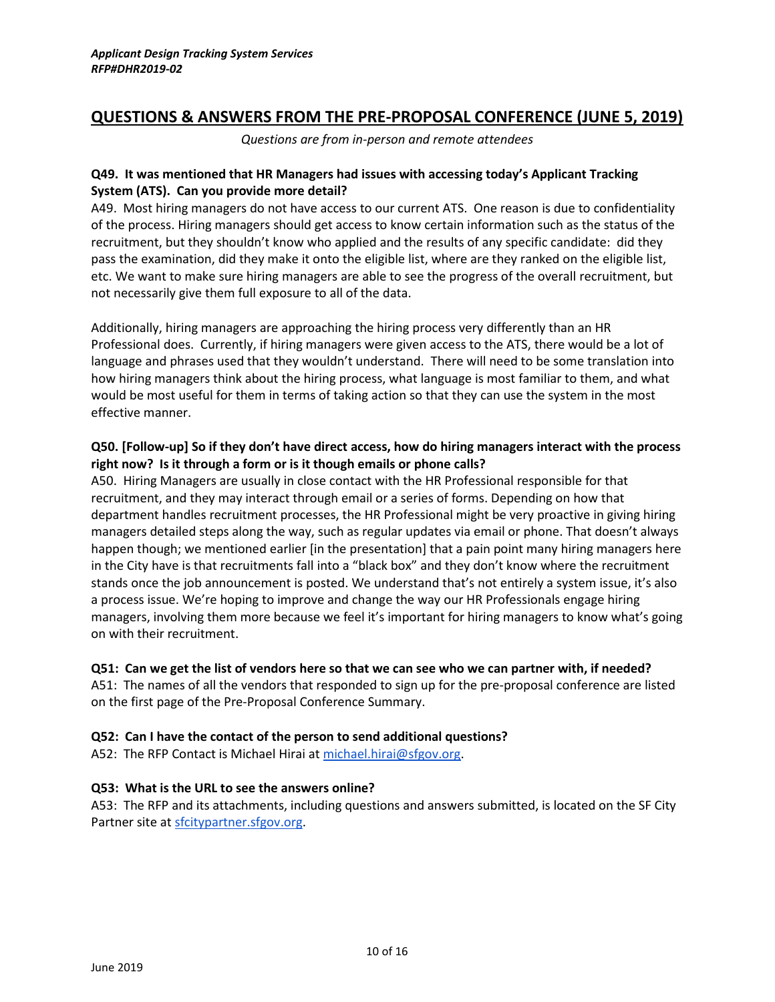# **QUESTIONS & ANSWERS FROM THE PRE-PROPOSAL CONFERENCE (JUNE 5, 2019)**

*Questions are from in-person and remote attendees*

#### **Q49. It was mentioned that HR Managers had issues with accessing today's Applicant Tracking System (ATS). Can you provide more detail?**

A49. Most hiring managers do not have access to our current ATS. One reason is due to confidentiality of the process. Hiring managers should get access to know certain information such as the status of the recruitment, but they shouldn't know who applied and the results of any specific candidate: did they pass the examination, did they make it onto the eligible list, where are they ranked on the eligible list, etc. We want to make sure hiring managers are able to see the progress of the overall recruitment, but not necessarily give them full exposure to all of the data.

Additionally, hiring managers are approaching the hiring process very differently than an HR Professional does. Currently, if hiring managers were given access to the ATS, there would be a lot of language and phrases used that they wouldn't understand. There will need to be some translation into how hiring managers think about the hiring process, what language is most familiar to them, and what would be most useful for them in terms of taking action so that they can use the system in the most effective manner.

#### **Q50. [Follow-up] So if they don't have direct access, how do hiring managers interact with the process right now? Is it through a form or is it though emails or phone calls?**

A50. Hiring Managers are usually in close contact with the HR Professional responsible for that recruitment, and they may interact through email or a series of forms. Depending on how that department handles recruitment processes, the HR Professional might be very proactive in giving hiring managers detailed steps along the way, such as regular updates via email or phone. That doesn't always happen though; we mentioned earlier [in the presentation] that a pain point many hiring managers here in the City have is that recruitments fall into a "black box" and they don't know where the recruitment stands once the job announcement is posted. We understand that's not entirely a system issue, it's also a process issue. We're hoping to improve and change the way our HR Professionals engage hiring managers, involving them more because we feel it's important for hiring managers to know what's going on with their recruitment.

#### **Q51: Can we get the list of vendors here so that we can see who we can partner with, if needed?**

A51: The names of all the vendors that responded to sign up for the pre-proposal conference are listed on the first page of the Pre-Proposal Conference Summary.

#### **Q52: Can I have the contact of the person to send additional questions?**

A52: The RFP Contact is Michael Hirai at [michael.hirai@sfgov.org.](mailto:michael.hirai@sfgov.org)

#### **Q53: What is the URL to see the answers online?**

A53: The RFP and its attachments, including questions and answers submitted, is located on the SF City Partner site at [sfcitypartner.sfgov.org.](https://sfcitypartner.sfgov.org/)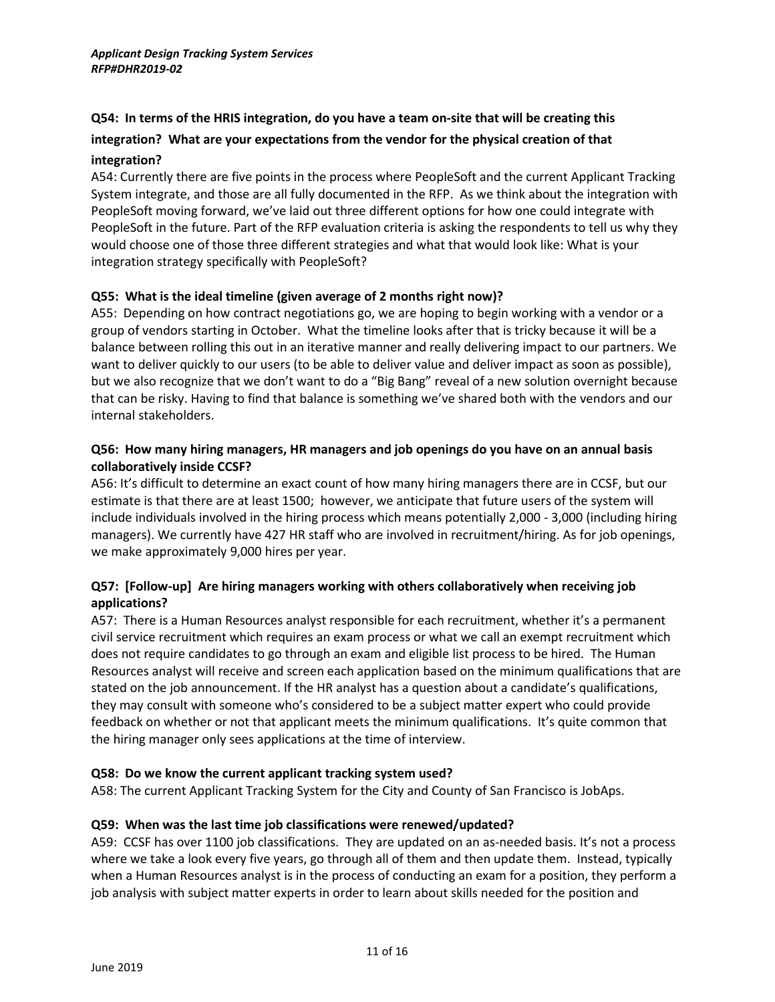# **Q54: In terms of the HRIS integration, do you have a team on-site that will be creating this**

# **integration? What are your expectations from the vendor for the physical creation of that**

#### **integration?**

A54: Currently there are five points in the process where PeopleSoft and the current Applicant Tracking System integrate, and those are all fully documented in the RFP. As we think about the integration with PeopleSoft moving forward, we've laid out three different options for how one could integrate with PeopleSoft in the future. Part of the RFP evaluation criteria is asking the respondents to tell us why they would choose one of those three different strategies and what that would look like: What is your integration strategy specifically with PeopleSoft?

## **Q55: What is the ideal timeline (given average of 2 months right now)?**

A55: Depending on how contract negotiations go, we are hoping to begin working with a vendor or a group of vendors starting in October. What the timeline looks after that is tricky because it will be a balance between rolling this out in an iterative manner and really delivering impact to our partners. We want to deliver quickly to our users (to be able to deliver value and deliver impact as soon as possible), but we also recognize that we don't want to do a "Big Bang" reveal of a new solution overnight because that can be risky. Having to find that balance is something we've shared both with the vendors and our internal stakeholders.

## **Q56: How many hiring managers, HR managers and job openings do you have on an annual basis collaboratively inside CCSF?**

A56: It's difficult to determine an exact count of how many hiring managers there are in CCSF, but our estimate is that there are at least 1500; however, we anticipate that future users of the system will include individuals involved in the hiring process which means potentially 2,000 - 3,000 (including hiring managers). We currently have 427 HR staff who are involved in recruitment/hiring. As for job openings, we make approximately 9,000 hires per year.

## **Q57: [Follow-up] Are hiring managers working with others collaboratively when receiving job applications?**

A57: There is a Human Resources analyst responsible for each recruitment, whether it's a permanent civil service recruitment which requires an exam process or what we call an exempt recruitment which does not require candidates to go through an exam and eligible list process to be hired. The Human Resources analyst will receive and screen each application based on the minimum qualifications that are stated on the job announcement. If the HR analyst has a question about a candidate's qualifications, they may consult with someone who's considered to be a subject matter expert who could provide feedback on whether or not that applicant meets the minimum qualifications. It's quite common that the hiring manager only sees applications at the time of interview.

## **Q58: Do we know the current applicant tracking system used?**

A58: The current Applicant Tracking System for the City and County of San Francisco is JobAps.

#### **Q59: When was the last time job classifications were renewed/updated?**

A59: CCSF has over 1100 job classifications. They are updated on an as-needed basis. It's not a process where we take a look every five years, go through all of them and then update them. Instead, typically when a Human Resources analyst is in the process of conducting an exam for a position, they perform a job analysis with subject matter experts in order to learn about skills needed for the position and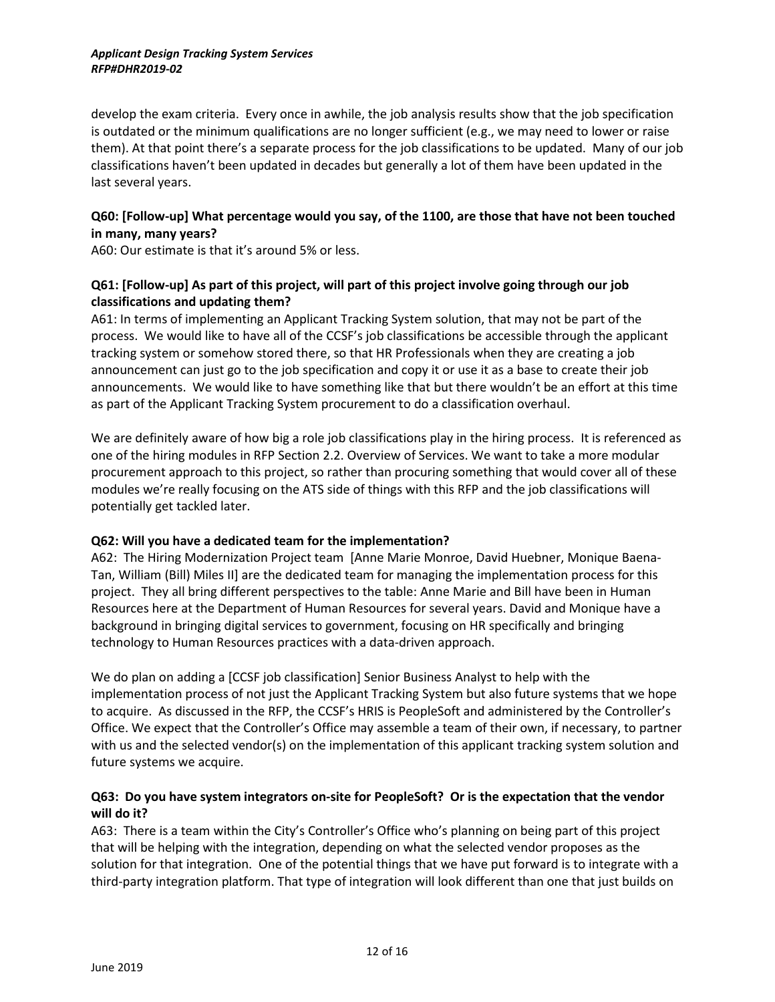develop the exam criteria. Every once in awhile, the job analysis results show that the job specification is outdated or the minimum qualifications are no longer sufficient (e.g., we may need to lower or raise them). At that point there's a separate process for the job classifications to be updated. Many of our job classifications haven't been updated in decades but generally a lot of them have been updated in the last several years.

## **Q60: [Follow-up] What percentage would you say, of the 1100, are those that have not been touched in many, many years?**

A60: Our estimate is that it's around 5% or less.

## **Q61: [Follow-up] As part of this project, will part of this project involve going through our job classifications and updating them?**

A61: In terms of implementing an Applicant Tracking System solution, that may not be part of the process. We would like to have all of the CCSF's job classifications be accessible through the applicant tracking system or somehow stored there, so that HR Professionals when they are creating a job announcement can just go to the job specification and copy it or use it as a base to create their job announcements. We would like to have something like that but there wouldn't be an effort at this time as part of the Applicant Tracking System procurement to do a classification overhaul.

We are definitely aware of how big a role job classifications play in the hiring process. It is referenced as one of the hiring modules in RFP Section 2.2. Overview of Services. We want to take a more modular procurement approach to this project, so rather than procuring something that would cover all of these modules we're really focusing on the ATS side of things with this RFP and the job classifications will potentially get tackled later.

## **Q62: Will you have a dedicated team for the implementation?**

A62: The Hiring Modernization Project team [Anne Marie Monroe, David Huebner, Monique Baena-Tan, William (Bill) Miles II] are the dedicated team for managing the implementation process for this project. They all bring different perspectives to the table: Anne Marie and Bill have been in Human Resources here at the Department of Human Resources for several years. David and Monique have a background in bringing digital services to government, focusing on HR specifically and bringing technology to Human Resources practices with a data-driven approach.

We do plan on adding a [CCSF job classification] Senior Business Analyst to help with the implementation process of not just the Applicant Tracking System but also future systems that we hope to acquire. As discussed in the RFP, the CCSF's HRIS is PeopleSoft and administered by the Controller's Office. We expect that the Controller's Office may assemble a team of their own, if necessary, to partner with us and the selected vendor(s) on the implementation of this applicant tracking system solution and future systems we acquire.

## **Q63: Do you have system integrators on-site for PeopleSoft? Or is the expectation that the vendor will do it?**

A63: There is a team within the City's Controller's Office who's planning on being part of this project that will be helping with the integration, depending on what the selected vendor proposes as the solution for that integration. One of the potential things that we have put forward is to integrate with a third-party integration platform. That type of integration will look different than one that just builds on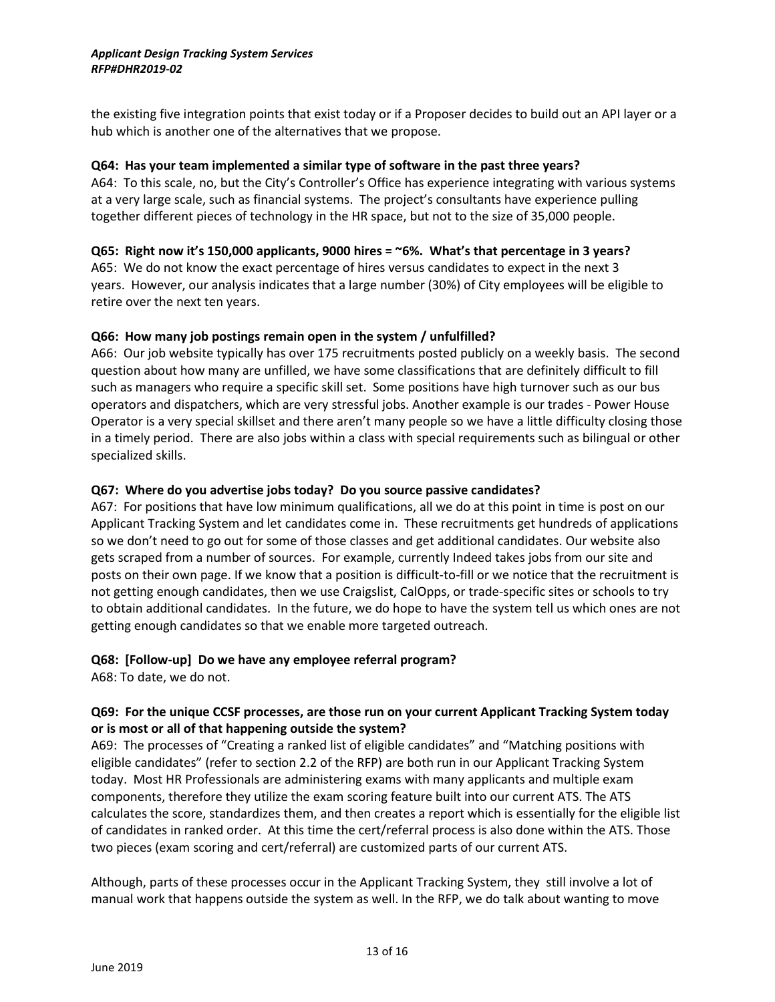the existing five integration points that exist today or if a Proposer decides to build out an API layer or a hub which is another one of the alternatives that we propose.

#### **Q64: Has your team implemented a similar type of software in the past three years?**

A64: To this scale, no, but the City's Controller's Office has experience integrating with various systems at a very large scale, such as financial systems. The project's consultants have experience pulling together different pieces of technology in the HR space, but not to the size of 35,000 people.

#### **Q65: Right now it's 150,000 applicants, 9000 hires = ~6%. What's that percentage in 3 years?**

A65: We do not know the exact percentage of hires versus candidates to expect in the next 3 years. However, our analysis indicates that a large number (30%) of City employees will be eligible to retire over the next ten years.

#### **Q66: How many job postings remain open in the system / unfulfilled?**

A66: Our job website typically has over 175 recruitments posted publicly on a weekly basis. The second question about how many are unfilled, we have some classifications that are definitely difficult to fill such as managers who require a specific skill set. Some positions have high turnover such as our bus operators and dispatchers, which are very stressful jobs. Another example is our trades - Power House Operator is a very special skillset and there aren't many people so we have a little difficulty closing those in a timely period. There are also jobs within a class with special requirements such as bilingual or other specialized skills.

#### **Q67: Where do you advertise jobs today? Do you source passive candidates?**

A67: For positions that have low minimum qualifications, all we do at this point in time is post on our Applicant Tracking System and let candidates come in. These recruitments get hundreds of applications so we don't need to go out for some of those classes and get additional candidates. Our website also gets scraped from a number of sources. For example, currently Indeed takes jobs from our site and posts on their own page. If we know that a position is difficult-to-fill or we notice that the recruitment is not getting enough candidates, then we use Craigslist, CalOpps, or trade-specific sites or schools to try to obtain additional candidates. In the future, we do hope to have the system tell us which ones are not getting enough candidates so that we enable more targeted outreach.

#### **Q68: [Follow-up] Do we have any employee referral program?**

A68: To date, we do not.

#### **Q69: For the unique CCSF processes, are those run on your current Applicant Tracking System today or is most or all of that happening outside the system?**

A69: The processes of "Creating a ranked list of eligible candidates" and "Matching positions with eligible candidates" (refer to section 2.2 of the RFP) are both run in our Applicant Tracking System today. Most HR Professionals are administering exams with many applicants and multiple exam components, therefore they utilize the exam scoring feature built into our current ATS. The ATS calculates the score, standardizes them, and then creates a report which is essentially for the eligible list of candidates in ranked order. At this time the cert/referral process is also done within the ATS. Those two pieces (exam scoring and cert/referral) are customized parts of our current ATS.

Although, parts of these processes occur in the Applicant Tracking System, they still involve a lot of manual work that happens outside the system as well. In the RFP, we do talk about wanting to move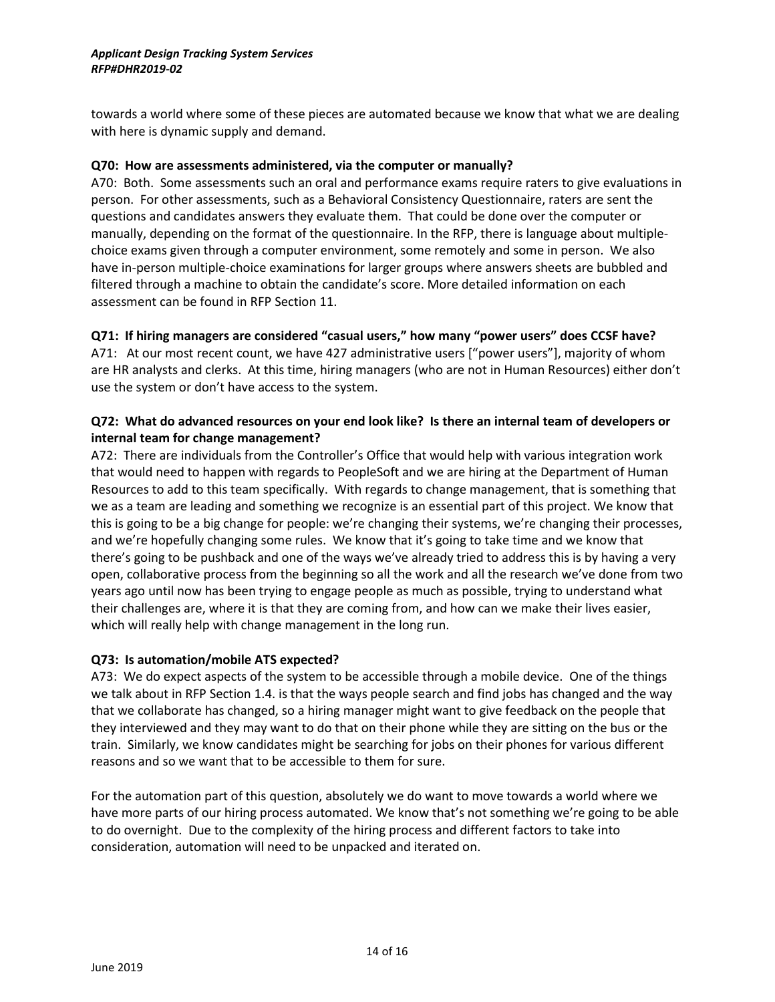towards a world where some of these pieces are automated because we know that what we are dealing with here is dynamic supply and demand.

#### **Q70: How are assessments administered, via the computer or manually?**

A70: Both. Some assessments such an oral and performance exams require raters to give evaluations in person. For other assessments, such as a Behavioral Consistency Questionnaire, raters are sent the questions and candidates answers they evaluate them. That could be done over the computer or manually, depending on the format of the questionnaire. In the RFP, there is language about multiplechoice exams given through a computer environment, some remotely and some in person. We also have in-person multiple-choice examinations for larger groups where answers sheets are bubbled and filtered through a machine to obtain the candidate's score. More detailed information on each assessment can be found in RFP Section 11.

#### **Q71: If hiring managers are considered "casual users," how many "power users" does CCSF have?**

A71: At our most recent count, we have 427 administrative users ["power users"], majority of whom are HR analysts and clerks. At this time, hiring managers (who are not in Human Resources) either don't use the system or don't have access to the system.

#### **Q72: What do advanced resources on your end look like? Is there an internal team of developers or internal team for change management?**

A72: There are individuals from the Controller's Office that would help with various integration work that would need to happen with regards to PeopleSoft and we are hiring at the Department of Human Resources to add to this team specifically. With regards to change management, that is something that we as a team are leading and something we recognize is an essential part of this project. We know that this is going to be a big change for people: we're changing their systems, we're changing their processes, and we're hopefully changing some rules. We know that it's going to take time and we know that there's going to be pushback and one of the ways we've already tried to address this is by having a very open, collaborative process from the beginning so all the work and all the research we've done from two years ago until now has been trying to engage people as much as possible, trying to understand what their challenges are, where it is that they are coming from, and how can we make their lives easier, which will really help with change management in the long run.

#### **Q73: Is automation/mobile ATS expected?**

A73: We do expect aspects of the system to be accessible through a mobile device. One of the things we talk about in RFP Section 1.4. is that the ways people search and find jobs has changed and the way that we collaborate has changed, so a hiring manager might want to give feedback on the people that they interviewed and they may want to do that on their phone while they are sitting on the bus or the train. Similarly, we know candidates might be searching for jobs on their phones for various different reasons and so we want that to be accessible to them for sure.

For the automation part of this question, absolutely we do want to move towards a world where we have more parts of our hiring process automated. We know that's not something we're going to be able to do overnight. Due to the complexity of the hiring process and different factors to take into consideration, automation will need to be unpacked and iterated on.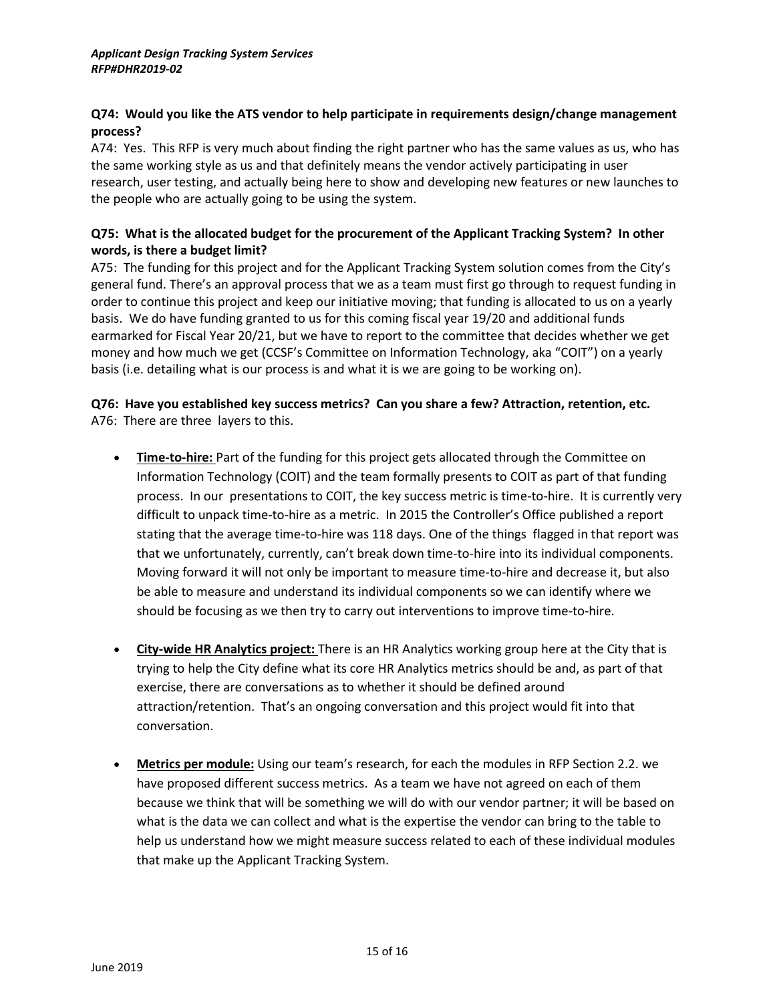#### **Q74: Would you like the ATS vendor to help participate in requirements design/change management process?**

A74: Yes. This RFP is very much about finding the right partner who has the same values as us, who has the same working style as us and that definitely means the vendor actively participating in user research, user testing, and actually being here to show and developing new features or new launches to the people who are actually going to be using the system.

#### **Q75: What is the allocated budget for the procurement of the Applicant Tracking System? In other words, is there a budget limit?**

A75: The funding for this project and for the Applicant Tracking System solution comes from the City's general fund. There's an approval process that we as a team must first go through to request funding in order to continue this project and keep our initiative moving; that funding is allocated to us on a yearly basis. We do have funding granted to us for this coming fiscal year 19/20 and additional funds earmarked for Fiscal Year 20/21, but we have to report to the committee that decides whether we get money and how much we get (CCSF's Committee on Information Technology, aka "COIT") on a yearly basis (i.e. detailing what is our process is and what it is we are going to be working on).

#### **Q76: Have you established key success metrics? Can you share a few? Attraction, retention, etc.** A76: There are three layers to this.

- **Time-to-hire:** Part of the funding for this project gets allocated through the Committee on Information Technology (COIT) and the team formally presents to COIT as part of that funding process. In our presentations to COIT, the key success metric is time-to-hire. It is currently very difficult to unpack time-to-hire as a metric. In 2015 the Controller's Office published a report stating that the average time-to-hire was 118 days. One of the things flagged in that report was that we unfortunately, currently, can't break down time-to-hire into its individual components. Moving forward it will not only be important to measure time-to-hire and decrease it, but also be able to measure and understand its individual components so we can identify where we should be focusing as we then try to carry out interventions to improve time-to-hire.
- **City-wide HR Analytics project:** There is an HR Analytics working group here at the City that is trying to help the City define what its core HR Analytics metrics should be and, as part of that exercise, there are conversations as to whether it should be defined around attraction/retention. That's an ongoing conversation and this project would fit into that conversation.
- **Metrics per module:** Using our team's research, for each the modules in RFP Section 2.2. we have proposed different success metrics. As a team we have not agreed on each of them because we think that will be something we will do with our vendor partner; it will be based on what is the data we can collect and what is the expertise the vendor can bring to the table to help us understand how we might measure success related to each of these individual modules that make up the Applicant Tracking System.